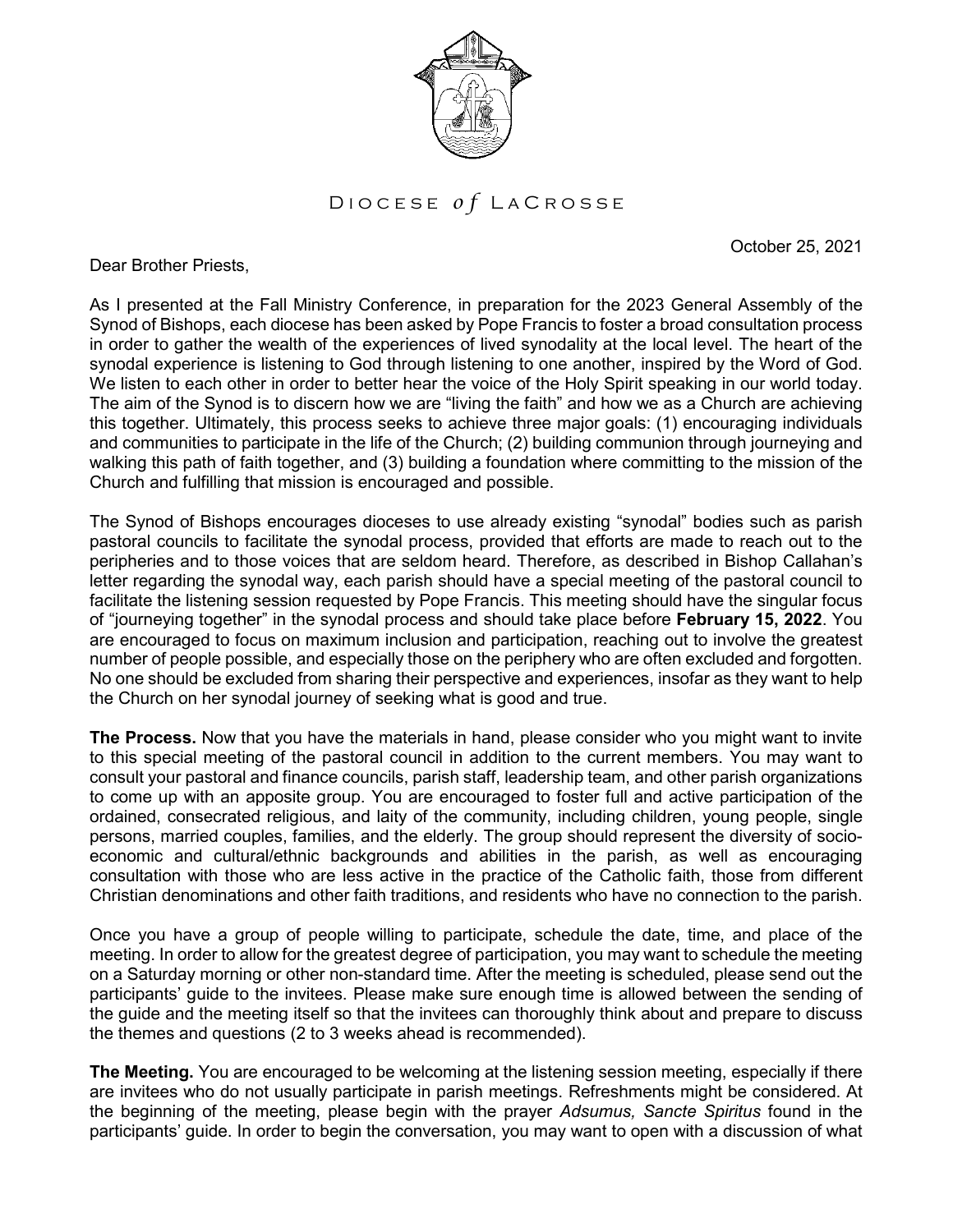

D I O C E S E *o* f L A C R O S S E

October 25, 2021

Dear Brother Priests,

As I presented at the Fall Ministry Conference, in preparation for the 2023 General Assembly of the Synod of Bishops, each diocese has been asked by Pope Francis to foster a broad consultation process in order to gather the wealth of the experiences of lived synodality at the local level. The heart of the synodal experience is listening to God through listening to one another, inspired by the Word of God. We listen to each other in order to better hear the voice of the Holy Spirit speaking in our world today. The aim of the Synod is to discern how we are "living the faith" and how we as a Church are achieving this together. Ultimately, this process seeks to achieve three major goals: (1) encouraging individuals and communities to participate in the life of the Church; (2) building communion through journeying and walking this path of faith together, and (3) building a foundation where committing to the mission of the Church and fulfilling that mission is encouraged and possible.

The Synod of Bishops encourages dioceses to use already existing "synodal" bodies such as parish pastoral councils to facilitate the synodal process, provided that efforts are made to reach out to the peripheries and to those voices that are seldom heard. Therefore, as described in Bishop Callahan's letter regarding the synodal way, each parish should have a special meeting of the pastoral council to facilitate the listening session requested by Pope Francis. This meeting should have the singular focus of "journeying together" in the synodal process and should take place before **February 15, 2022**. You are encouraged to focus on maximum inclusion and participation, reaching out to involve the greatest number of people possible, and especially those on the periphery who are often excluded and forgotten. No one should be excluded from sharing their perspective and experiences, insofar as they want to help the Church on her synodal journey of seeking what is good and true.

**The Process.** Now that you have the materials in hand, please consider who you might want to invite to this special meeting of the pastoral council in addition to the current members. You may want to consult your pastoral and finance councils, parish staff, leadership team, and other parish organizations to come up with an apposite group. You are encouraged to foster full and active participation of the ordained, consecrated religious, and laity of the community, including children, young people, single persons, married couples, families, and the elderly. The group should represent the diversity of socioeconomic and cultural/ethnic backgrounds and abilities in the parish, as well as encouraging consultation with those who are less active in the practice of the Catholic faith, those from different Christian denominations and other faith traditions, and residents who have no connection to the parish.

Once you have a group of people willing to participate, schedule the date, time, and place of the meeting. In order to allow for the greatest degree of participation, you may want to schedule the meeting on a Saturday morning or other non-standard time. After the meeting is scheduled, please send out the participants' guide to the invitees. Please make sure enough time is allowed between the sending of the guide and the meeting itself so that the invitees can thoroughly think about and prepare to discuss the themes and questions (2 to 3 weeks ahead is recommended).

**The Meeting.** You are encouraged to be welcoming at the listening session meeting, especially if there are invitees who do not usually participate in parish meetings. Refreshments might be considered. At the beginning of the meeting, please begin with the prayer *Adsumus, Sancte Spiritus* found in the participants' guide. In order to begin the conversation, you may want to open with a discussion of what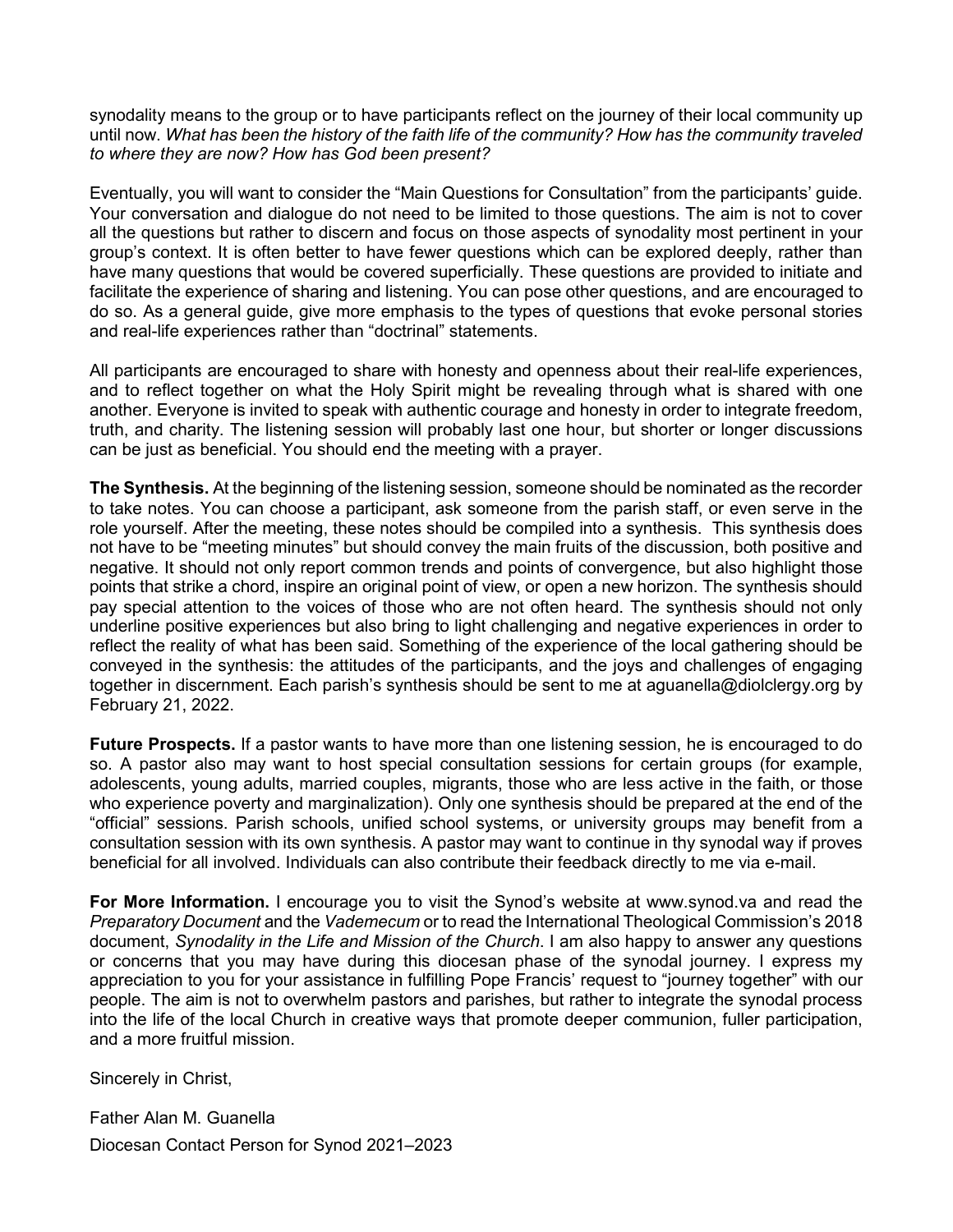synodality means to the group or to have participants reflect on the journey of their local community up until now. *What has been the history of the faith life of the community? How has the community traveled to where they are now? How has God been present?*

Eventually, you will want to consider the "Main Questions for Consultation" from the participants' guide. Your conversation and dialogue do not need to be limited to those questions. The aim is not to cover all the questions but rather to discern and focus on those aspects of synodality most pertinent in your group's context. It is often better to have fewer questions which can be explored deeply, rather than have many questions that would be covered superficially. These questions are provided to initiate and facilitate the experience of sharing and listening. You can pose other questions, and are encouraged to do so. As a general guide, give more emphasis to the types of questions that evoke personal stories and real-life experiences rather than "doctrinal" statements.

All participants are encouraged to share with honesty and openness about their real-life experiences, and to reflect together on what the Holy Spirit might be revealing through what is shared with one another. Everyone is invited to speak with authentic courage and honesty in order to integrate freedom, truth, and charity. The listening session will probably last one hour, but shorter or longer discussions can be just as beneficial. You should end the meeting with a prayer.

**The Synthesis.** At the beginning of the listening session, someone should be nominated as the recorder to take notes. You can choose a participant, ask someone from the parish staff, or even serve in the role yourself. After the meeting, these notes should be compiled into a synthesis. This synthesis does not have to be "meeting minutes" but should convey the main fruits of the discussion, both positive and negative. It should not only report common trends and points of convergence, but also highlight those points that strike a chord, inspire an original point of view, or open a new horizon. The synthesis should pay special attention to the voices of those who are not often heard. The synthesis should not only underline positive experiences but also bring to light challenging and negative experiences in order to reflect the reality of what has been said. Something of the experience of the local gathering should be conveyed in the synthesis: the attitudes of the participants, and the joys and challenges of engaging together in discernment. Each parish's synthesis should be sent to me at aguanella@diolclergy.org by February 21, 2022.

**Future Prospects.** If a pastor wants to have more than one listening session, he is encouraged to do so. A pastor also may want to host special consultation sessions for certain groups (for example, adolescents, young adults, married couples, migrants, those who are less active in the faith, or those who experience poverty and marginalization). Only one synthesis should be prepared at the end of the "official" sessions. Parish schools, unified school systems, or university groups may benefit from a consultation session with its own synthesis. A pastor may want to continue in thy synodal way if proves beneficial for all involved. Individuals can also contribute their feedback directly to me via e-mail.

**For More Information.** I encourage you to visit the Synod's website at www.synod.va and read the *Preparatory Document* and the *Vademecum* or to read the International Theological Commission's 2018 document, *Synodality in the Life and Mission of the Church*. I am also happy to answer any questions or concerns that you may have during this diocesan phase of the synodal journey. I express my appreciation to you for your assistance in fulfilling Pope Francis' request to "journey together" with our people. The aim is not to overwhelm pastors and parishes, but rather to integrate the synodal process into the life of the local Church in creative ways that promote deeper communion, fuller participation, and a more fruitful mission.

Sincerely in Christ,

Father Alan M. Guanella Diocesan Contact Person for Synod 2021–2023